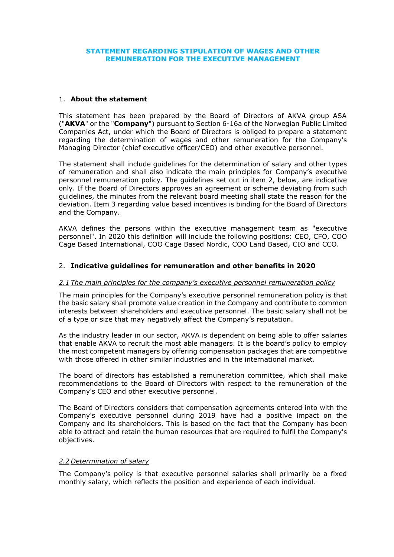### **STATEMENT REGARDING STIPULATION OF WAGES AND OTHER REMUNERATION FOR THE EXECUTIVE MANAGEMENT**

#### 1. **About the statement**

This statement has been prepared by the Board of Directors of AKVA group ASA ("**AKVA**" or the "**Company**") pursuant to Section 6-16a of the Norwegian Public Limited Companies Act, under which the Board of Directors is obliged to prepare a statement regarding the determination of wages and other remuneration for the Company's Managing Director (chief executive officer/CEO) and other executive personnel.

The statement shall include guidelines for the determination of salary and other types of remuneration and shall also indicate the main principles for Company's executive personnel remuneration policy. The guidelines set out in item 2, below, are indicative only. If the Board of Directors approves an agreement or scheme deviating from such guidelines, the minutes from the relevant board meeting shall state the reason for the deviation. Item 3 regarding value based incentives is binding for the Board of Directors and the Company.

AKVA defines the persons within the executive management team as "executive personnel". In 2020 this definition will include the following positions: CEO, CFO, COO Cage Based International, COO Cage Based Nordic, COO Land Based, CIO and CCO.

### 2. **Indicative guidelines for remuneration and other benefits in 2020**

#### *2.1 The main principles for the company's executive personnel remuneration policy*

The main principles for the Company's executive personnel remuneration policy is that the basic salary shall promote value creation in the Company and contribute to common interests between shareholders and executive personnel. The basic salary shall not be of a type or size that may negatively affect the Company's reputation.

As the industry leader in our sector, AKVA is dependent on being able to offer salaries that enable AKVA to recruit the most able managers. It is the board's policy to employ the most competent managers by offering compensation packages that are competitive with those offered in other similar industries and in the international market.

The board of directors has established a remuneration committee, which shall make recommendations to the Board of Directors with respect to the remuneration of the Company's CEO and other executive personnel.

The Board of Directors considers that compensation agreements entered into with the Company's executive personnel during 2019 have had a positive impact on the Company and its shareholders. This is based on the fact that the Company has been able to attract and retain the human resources that are required to fulfil the Company's objectives.

#### *2.2 Determination of salary*

The Company's policy is that executive personnel salaries shall primarily be a fixed monthly salary, which reflects the position and experience of each individual.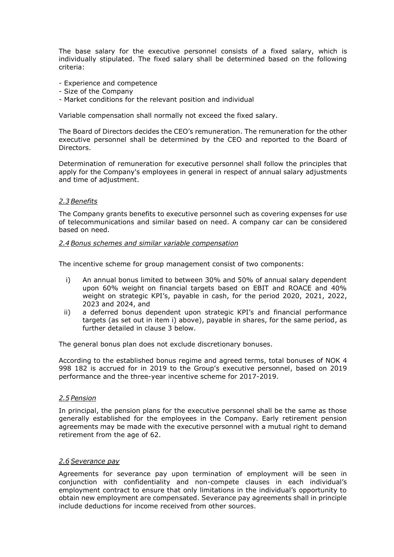The base salary for the executive personnel consists of a fixed salary, which is individually stipulated. The fixed salary shall be determined based on the following criteria:

- Experience and competence
- Size of the Company
- Market conditions for the relevant position and individual

Variable compensation shall normally not exceed the fixed salary.

The Board of Directors decides the CEO's remuneration. The remuneration for the other executive personnel shall be determined by the CEO and reported to the Board of Directors.

Determination of remuneration for executive personnel shall follow the principles that apply for the Company's employees in general in respect of annual salary adjustments and time of adjustment.

### *2.3Benefits*

The Company grants benefits to executive personnel such as covering expenses for use of telecommunications and similar based on need. A company car can be considered based on need.

#### *2.4Bonus schemes and similar variable compensation*

The incentive scheme for group management consist of two components:

- i) An annual bonus limited to between 30% and 50% of annual salary dependent upon 60% weight on financial targets based on EBIT and ROACE and 40% weight on strategic KPI's, payable in cash, for the period 2020, 2021, 2022, 2023 and 2024, and
- ii) a deferred bonus dependent upon strategic KPI's and financial performance targets (as set out in item i) above), payable in shares, for the same period, as further detailed in clause 3 below.

The general bonus plan does not exclude discretionary bonuses.

According to the established bonus regime and agreed terms, total bonuses of NOK 4 998 182 is accrued for in 2019 to the Group's executive personnel, based on 2019 performance and the three-year incentive scheme for 2017-2019.

### *2.5 Pension*

In principal, the pension plans for the executive personnel shall be the same as those generally established for the employees in the Company. Early retirement pension agreements may be made with the executive personnel with a mutual right to demand retirement from the age of 62.

#### *2.6Severance pay*

Agreements for severance pay upon termination of employment will be seen in conjunction with confidentiality and non-compete clauses in each individual's employment contract to ensure that only limitations in the individual's opportunity to obtain new employment are compensated. Severance pay agreements shall in principle include deductions for income received from other sources.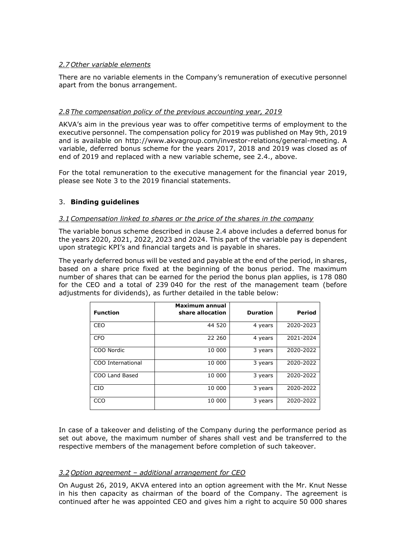# *2.7 Other variable elements*

There are no variable elements in the Company's remuneration of executive personnel apart from the bonus arrangement.

# *2.8 The compensation policy of the previous accounting year, 2019*

AKVA's aim in the previous year was to offer competitive terms of employment to the executive personnel. The compensation policy for 2019 was published on May 9th, 2019 and is available on [http://www.akvagroup.com/investor-relations/general-meeting.](http://www.akvagroup.com/investor-relations/general-meeting) A variable, deferred bonus scheme for the years 2017, 2018 and 2019 was closed as of end of 2019 and replaced with a new variable scheme, see 2.4., above.

For the total remuneration to the executive management for the financial year 2019, please see Note 3 to the 2019 financial statements.

# 3. **Binding guidelines**

### *3.1Compensation linked to shares or the price of the shares in the company*

The variable bonus scheme described in clause 2.4 above includes a deferred bonus for the years 2020, 2021, 2022, 2023 and 2024. This part of the variable pay is dependent upon strategic KPI's and financial targets and is payable in shares.

The yearly deferred bonus will be vested and payable at the end of the period, in shares, based on a share price fixed at the beginning of the bonus period. The maximum number of shares that can be earned for the period the bonus plan applies, is 178 080 for the CEO and a total of 239 040 for the rest of the management team (before adjustments for dividends), as further detailed in the table below:

| <b>Function</b>   | <b>Maximum annual</b><br>share allocation | <b>Duration</b> | <b>Period</b> |
|-------------------|-------------------------------------------|-----------------|---------------|
| <b>CEO</b>        | 44 520                                    | 4 years         | 2020-2023     |
| <b>CFO</b>        | 22 260                                    | 4 years         | 2021-2024     |
| COO Nordic        | 10 000                                    | 3 years         | 2020-2022     |
| COO International | 10 000                                    | 3 years         | 2020-2022     |
| COO Land Based    | 10 000                                    | 3 years         | 2020-2022     |
| <b>CIO</b>        | 10 000                                    | 3 years         | 2020-2022     |
| CCO               | 10 000                                    | 3 years         | 2020-2022     |

In case of a takeover and delisting of the Company during the performance period as set out above, the maximum number of shares shall vest and be transferred to the respective members of the management before completion of such takeover.

# *3.2 Option agreement – additional arrangement for CEO*

On August 26, 2019, AKVA entered into an option agreement with the Mr. Knut Nesse in his then capacity as chairman of the board of the Company. The agreement is continued after he was appointed CEO and gives him a right to acquire 50 000 shares